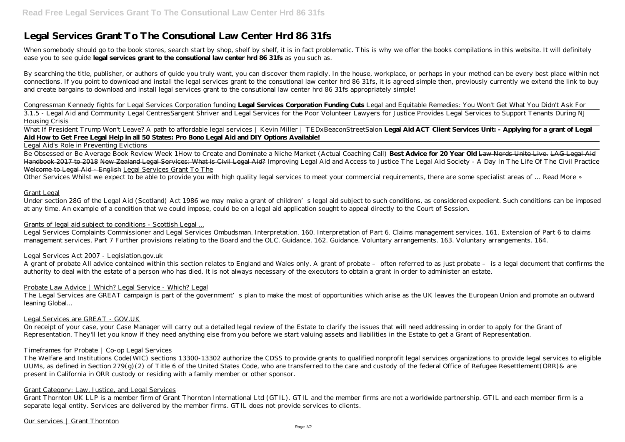# **Legal Services Grant To The Consutional Law Center Hrd 86 31fs**

When somebody should go to the book stores, search start by shop, shelf by shelf, it is in fact problematic. This is why we offer the books compilations in this website. It will definitely ease you to see guide **legal services grant to the consutional law center hrd 86 31fs** as you such as.

By searching the title, publisher, or authors of guide you truly want, you can discover them rapidly. In the house, workplace, or perhaps in your method can be every best place within net connections. If you point to download and install the legal services grant to the consutional law center hrd 86 31fs, it is agreed simple then, previously currently we extend the link to buy and create bargains to download and install legal services grant to the consutional law center hrd 86 31fs appropriately simple!

What If President Trump Won't Leave? A path to affordable legal services | Kevin Miller | TEDxBeaconStreetSalon Legal Aid ACT Client Services Unit: - Applying for a grant of Legal **Aid How to Get Free Legal Help in all 50 States: Pro Bono Legal Aid and DIY Options Available!**

Be Obsessed or Be Average Book Review Week 1*How to Create and Dominate a Niche Market (Actual Coaching Call)* **Best Advice for 20 Year Old** Law Nerds Unite Live. LAG Legal Aid Handbook 2017 to 2018 New Zealand Legal Services: What is Civil Legal Aid? *Improving Legal Aid and Access to Justice The Legal Aid Society - A Day In The Life Of The Civil Practice* Welcome to Legal Aid English Legal Services Grant To The

*Congressman Kennedy fights for Legal Services Corporation funding* **Legal Services Corporation Funding Cuts** Legal and Equitable Remedies: You Won't Get What You Didn't Ask For

3.1.5 - Legal Aid and Community Legal Centres*Sargent Shriver and Legal Services for the Poor Volunteer Lawyers for Justice Provides Legal Services to Support Tenants During NJ Housing Crisis*

Legal Aid's Role in Preventing Evictions

Other Services Whilst we expect to be able to provide you with high quality legal services to meet your commercial requirements, there are some specialist areas of … Read More »

Grant Legal

Under section 28G of the Legal Aid (Scotland) Act 1986 we may make a grant of children's legal aid subject to such conditions, as considered expedient. Such conditions can be imposed at any time. An example of a condition that we could impose, could be on a legal aid application sought to appeal directly to the Court of Session.

# Grants of legal aid subject to conditions - Scottish Legal ...

Legal Services Complaints Commissioner and Legal Services Ombudsman. Interpretation. 160. Interpretation of Part 6. Claims management services. 161. Extension of Part 6 to claims management services. Part 7 Further provisions relating to the Board and the OLC. Guidance. 162. Guidance. Voluntary arrangements. 163. Voluntary arrangements. 164.

#### Legal Services Act 2007 - Legislation.gov.uk

A grant of probate All advice contained within this section relates to England and Wales only. A grant of probate – often referred to as just probate – is a legal document that confirms the authority to deal with the estate of a person who has died. It is not always necessary of the executors to obtain a grant in order to administer an estate.

#### Probate Law Advice | Which? Legal Service - Which? Legal

The Legal Services are GREAT campaign is part of the government's plan to make the most of opportunities which arise as the UK leaves the European Union and promote an outward leaning Global...

### Legal Services are GREAT - GOV.UK

On receipt of your case, your Case Manager will carry out a detailed legal review of the Estate to clarify the issues that will need addressing in order to apply for the Grant of Representation. They'll let you know if they need anything else from you before we start valuing assets and liabilities in the Estate to get a Grant of Representation.

#### Timeframes for Probate | Co-op Legal Services

The Welfare and Institutions Code(WIC) sections 13300-13302 authorize the CDSS to provide grants to qualified nonprofit legal services organizations to provide legal services to eligible UUMs, as defined in Section 279(g)(2) of Title 6 of the United States Code, who are transferred to the care and custody of the federal Office of Refugee Resettlement(ORR) & are present in California in ORR custody or residing with a family member or other sponsor.

# Grant Category: Law, Justice, and Legal Services

Grant Thornton UK LLP is a member firm of Grant Thornton International Ltd (GTIL). GTIL and the member firms are not a worldwide partnership. GTIL and each member firm is a separate legal entity. Services are delivered by the member firms. GTIL does not provide services to clients.

Our services | Grant Thornton